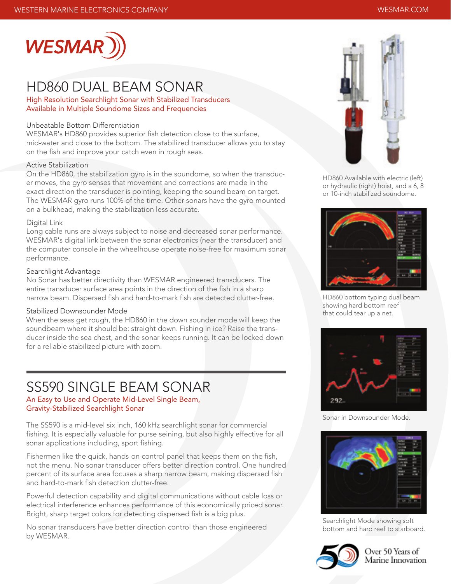

### HD860 DUAL BEAM SONAR

High Resolution Searchlight Sonar with Stabilized Transducers Available in Multiple Soundome Sizes and Frequencies

### Unbeatable Bottom Differentiation

WESMAR's HD860 provides superior fish detection close to the surface, mid-water and close to the bottom. The stabilized transducer allows you to stay on the fish and improve your catch even in rough seas.

#### Active Stabilization

On the HD860, the stabilization gyro is in the soundome, so when the transducer moves, the gyro senses that movement and corrections are made in the exact direction the transducer is pointing, keeping the sound beam on target. The WESMAR gyro runs 100% of the time. Other sonars have the gyro mounted on a bulkhead, making the stabilization less accurate.

#### Digital Link

Long cable runs are always subject to noise and decreased sonar performance. WESMAR's digital link between the sonar electronics (near the transducer) and the computer console in the wheelhouse operate noise-free for maximum sonar performance.

#### Searchlight Advantage

No Sonar has better directivity than WESMAR engineered transducers. The entire transducer surface area points in the direction of the fish in a sharp narrow beam. Dispersed fish and hard-to-mark fish are detected clutter-free.

#### Stabilized Downsounder Mode

When the seas get rough, the HD860 in the down sounder mode will keep the soundbeam where it should be: straight down. Fishing in ice? Raise the transducer inside the sea chest, and the sonar keeps running. It can be locked down for a reliable stabilized picture with zoom.

### SS590 SINGLE BEAM SONAR

An Easy to Use and Operate Mid-Level Single Beam, Gravity-Stabilized Searchlight Sonar

The SS590 is a mid-level six inch, 160 kHz searchlight sonar for commercial fishing. It is especially valuable for purse seining, but also highly effective for all sonar applications including, sport fishing.

Fishermen like the quick, hands-on control panel that keeps them on the fish, not the menu. No sonar transducer offers better direction control. One hundred percent of its surface area focuses a sharp narrow beam, making dispersed fish and hard-to-mark fish detection clutter-free.

Powerful detection capability and digital communications without cable loss or electrical interference enhances performance of this economically priced sonar. Bright, sharp target colors for detecting dispersed fish is a big plus.

No sonar transducers have better direction control than those engineered by WESMAR.



HD860 Available with electric (left) or hydraulic (right) hoist, and a 6, 8 or 10-inch stabilized soundome.



HD860 bottom typing dual beam showing hard bottom reef that could tear up a net.



Sonar in Downsounder Mode.



Searchlight Mode showing soft bottom and hard reef to starboard.



Over 50 Years of Marine Innovation